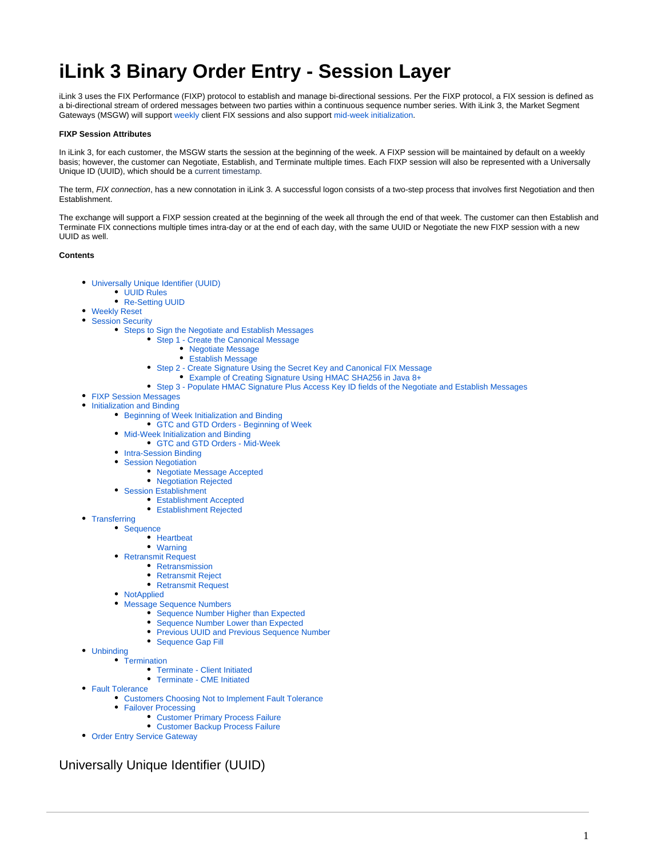# **iLink 3 Binary Order Entry - Session Layer**

iLink 3 uses the FIX Performance (FIXP) protocol to establish and manage bi-directional sessions. Per the FIXP protocol, a FIX session is defined as a bi-directional stream of ordered messages between two parties within a continuous sequence number series. With iLink 3, the Market Segment Gateways (MSGW) will support [weekly c](#page-1-0)lient FIX sessions and also support [mid-week initialization.](#page-5-0)

#### **FIXP Session Attributes**

In iLink 3, for each customer, the MSGW starts the session at the beginning of the week. A FIXP session will be maintained by default on a weekly basis; however, the customer can Negotiate, Establish, and Terminate multiple times. Each FIXP session will also be represented with a Universally Unique ID (UUID), which should be a current timestamp.

The term, FIX connection, has a new connotation in iLink 3. A successful logon consists of a two-step process that involves first Negotiation and then Establishment.

The exchange will support a FIXP session created at the beginning of the week all through the end of that week. The customer can then Establish and Terminate FIX connections multiple times intra-day or at the end of each day, with the same UUID or Negotiate the new FIXP session with a new UUID as well.

#### **Contents**

- [Universally Unique Identifier \(UUID\)](#page-0-0)
	- [UUID Rules](#page-1-1)
		- [Re-Setting UUID](#page-1-2)
- $\bullet$ [Weekly Reset](#page-1-0)
- [Session Security](#page-1-3)
	- [Steps to Sign the Negotiate and Establish Messages](#page-1-4)
		- [Step 1 Create the Canonical Message](#page-2-0)
			- [Negotiate Message](#page-2-1)
			- [Establish Message](#page-2-2)
		- [Step 2 Create Signature Using the Secret Key and Canonical FIX Message](#page-3-0)
			- [Example of Creating Signature Using HMAC SHA256 in Java 8+](#page-3-1)
		- [Step 3 Populate HMAC Signature Plus Access Key ID fields of the Negotiate and Establish Messages](#page-4-0)
- [FIXP Session Messages](#page-4-1)
- [Initialization and Binding](#page-5-1)
	- **[Beginning of Week Initialization and Binding](#page-5-2)** 
		- [GTC and GTD Orders Beginning of Week](#page-5-3)
	- [Mid-Week Initialization and Binding](#page-5-0)
		- [GTC and GTD Orders Mid-Week](#page-6-0)
	- [Intra-Session Binding](#page-6-1)
	- $\bullet$ [Session Negotiation](#page-6-2)
		- [Negotiate Message Accepted](#page-7-0)
		- [Negotiation Rejected](#page-7-1)
	- [Session Establishment](#page-8-0)
		- [Establishment Accepted](#page-9-0)
		- **[Establishment Rejected](#page-9-1)**
- [Transferring](#page-10-0)
	- [Sequence](#page-10-1)
		- [Heartbeat](#page-11-0)
		- [Warning](#page-11-1)
		- [Retransmit Request](#page-12-0)
			- [Retransmission](#page-13-0)
				- [Retransmit Reject](#page-13-1)
				- [Retransmit Request](#page-13-2)
		- [NotApplied](#page-14-0)
		- [Message Sequence Numbers](#page-14-1)
			- [Sequence Number Higher than Expected](#page-15-0)
			- [Sequence Number Lower than Expected](#page-15-1)
			- **[Previous UUID and Previous Sequence Number](#page-15-2)**
			- [Sequence Gap Fill](#page-15-3)
- [Unbinding](#page-16-0)
- [Termination](#page-16-1)
	- [Terminate Client Initiated](#page-16-2)
	- [Terminate CME Initiated](#page-17-0)
- [Fault Tolerance](#page-18-0)
	- [Customers Choosing Not to Implement Fault Tolerance](#page-18-1)
	- [Failover Processing](#page-18-2)
		- [Customer Primary Process Failure](#page-19-0)
		- [Customer Backup Process Failure](#page-19-1)
- [Order Entry Service Gateway](#page-19-2)

<span id="page-0-0"></span>Universally Unique Identifier (UUID)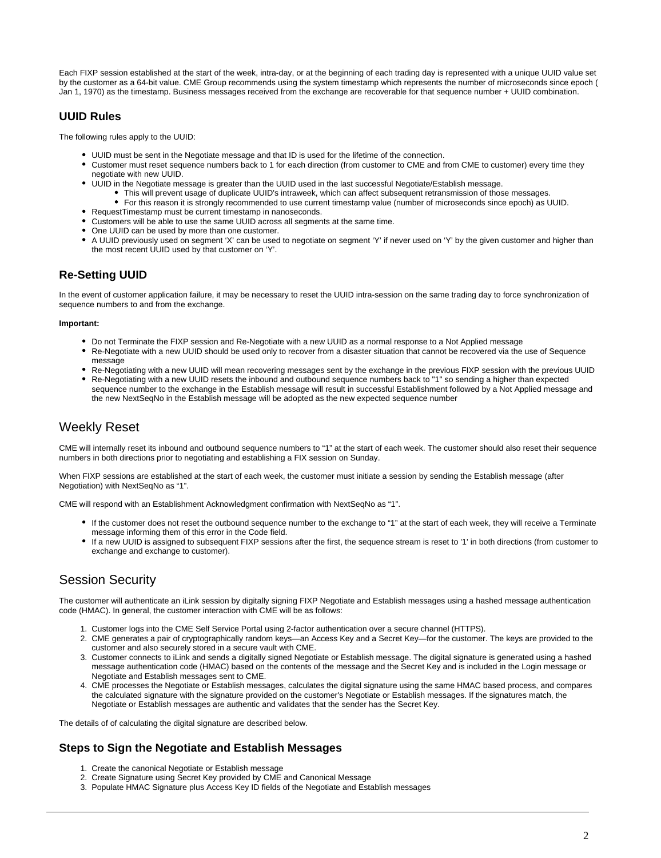Each FIXP session established at the start of the week, intra-day, or at the beginning of each trading day is represented with a unique UUID value set by the customer as a 64-bit value. CME Group recommends using the system timestamp which represents the number of microseconds since epoch ( Jan 1, 1970) as the timestamp. Business messages received from the exchange are recoverable for that sequence number + UUID combination.

### <span id="page-1-1"></span>**UUID Rules**

The following rules apply to the UUID:

- UUID must be sent in the Negotiate message and that ID is used for the lifetime of the connection.
- Customer must reset sequence numbers back to 1 for each direction (from customer to CME and from CME to customer) every time they negotiate with new UUID.
- UUID in the Negotiate message is greater than the UUID used in the last successful Negotiate/Establish message.
	- This will prevent usage of duplicate UUID's intraweek, which can affect subsequent retransmission of those messages.
	- For this reason it is strongly recommended to use current timestamp value (number of microseconds since epoch) as UUID.
- RequestTimestamp must be current timestamp in nanoseconds.
- Customers will be able to use the same UUID across all segments at the same time.
- One UUID can be used by more than one customer.
- A UUID previously used on segment 'X' can be used to negotiate on segment 'Y' if never used on 'Y' by the given customer and higher than the most recent UUID used by that customer on 'Y'.

# <span id="page-1-2"></span>**Re-Setting UUID**

In the event of customer application failure, it may be necessary to reset the UUID intra-session on the same trading day to force synchronization of sequence numbers to and from the exchange.

#### **Important:**

- Do not Terminate the FIXP session and Re-Negotiate with a new UUID as a normal response to a Not Applied message
- Re-Negotiate with a new UUID should be used only to recover from a disaster situation that cannot be recovered via the use of Sequence message
- Re-Negotiating with a new UUID will mean recovering messages sent by the exchange in the previous FIXP session with the previous UUID Re-Negotiating with a new UUID resets the inbound and outbound sequence numbers back to "1" so sending a higher than expected sequence number to the exchange in the Establish message will result in successful Establishment followed by a Not Applied message and
	- the new NextSeqNo in the Establish message will be adopted as the new expected sequence number

# <span id="page-1-0"></span>Weekly Reset

CME will internally reset its inbound and outbound sequence numbers to "1" at the start of each week. The customer should also reset their sequence numbers in both directions prior to negotiating and establishing a FIX session on Sunday.

When FIXP sessions are established at the start of each week, the customer must initiate a session by sending the Establish message (after Negotiation) with NextSeqNo as "1".

CME will respond with an Establishment Acknowledgment confirmation with NextSeqNo as "1".

- If the customer does not reset the outbound sequence number to the exchange to "1" at the start of each week, they will receive a Terminate message informing them of this error in the Code field.
- If a new UUID is assigned to subsequent FIXP sessions after the first, the sequence stream is reset to '1' in both directions (from customer to exchange and exchange to customer).

# <span id="page-1-3"></span>Session Security

The customer will authenticate an iLink session by digitally signing FIXP Negotiate and Establish messages using a hashed message authentication code (HMAC). In general, the customer interaction with CME will be as follows:

- 1. Customer logs into the CME Self Service Portal using 2-factor authentication over a secure channel (HTTPS).
- 2. CME generates a pair of cryptographically random keys—an Access Key and a Secret Key—for the customer. The keys are provided to the customer and also securely stored in a secure vault with CME.
- 3. Customer connects to iLink and sends a digitally signed Negotiate or Establish message. The digital signature is generated using a hashed message authentication code (HMAC) based on the contents of the message and the Secret Key and is included in the Login message or Negotiate and Establish messages sent to CME.
- 4. CME processes the Negotiate or Establish messages, calculates the digital signature using the same HMAC based process, and compares the calculated signature with the signature provided on the customer's Negotiate or Establish messages. If the signatures match, the Negotiate or Establish messages are authentic and validates that the sender has the Secret Key.

The details of of calculating the digital signature are described below.

### <span id="page-1-4"></span>**Steps to Sign the Negotiate and Establish Messages**

- 1. Create the canonical Negotiate or Establish message
- 2. Create Signature using Secret Key provided by CME and Canonical Message
- 3. Populate HMAC Signature plus Access Key ID fields of the Negotiate and Establish messages

ത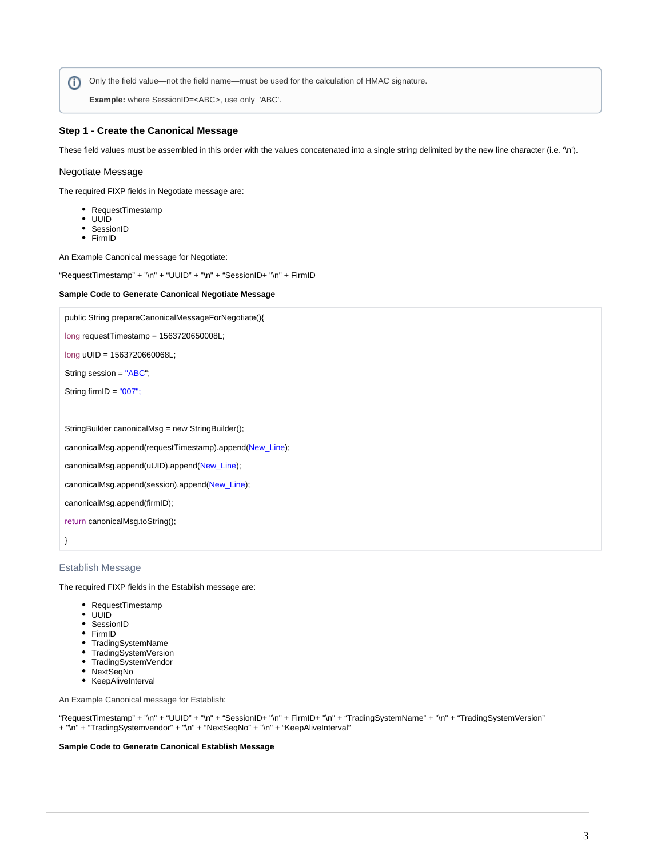Only the field value—not the field name—must be used for the calculation of HMAC signature.

**Example:** where SessionID=<ABC>, use only 'ABC'.

### <span id="page-2-0"></span>**Step 1 - Create the Canonical Message**

These field values must be assembled in this order with the values concatenated into a single string delimited by the new line character (i.e. '\n').

#### <span id="page-2-1"></span>Negotiate Message

The required FIXP fields in Negotiate message are:

- RequestTimestamp
- UUID
- SessionID
- FirmID

An Example Canonical message for Negotiate:

"RequestTimestamp" + "\n" + "UUID" + "\n" + "SessionID+ "\n" + FirmID

#### **Sample Code to Generate Canonical Negotiate Message**

| public String prepareCanonicalMessageForNegotiate(){    |  |  |  |  |
|---------------------------------------------------------|--|--|--|--|
| $long$ requestTimestamp = 1563720650008L;               |  |  |  |  |
| long uUID = 1563720660068L;                             |  |  |  |  |
| String session = "ABC";                                 |  |  |  |  |
| String firmID = $"007"$ ;                               |  |  |  |  |
|                                                         |  |  |  |  |
| StringBuilder canonicalMsg = new StringBuilder();       |  |  |  |  |
| canonicalMsg.append(requestTimestamp).append(New_Line); |  |  |  |  |
| canonicalMsg.append(uUID).append(New_Line);             |  |  |  |  |
| canonicalMsg.append(session).append(New_Line);          |  |  |  |  |
| canonicalMsg.append(firmID);                            |  |  |  |  |
| return canonicalMsg.toString();                         |  |  |  |  |
|                                                         |  |  |  |  |

### <span id="page-2-2"></span>Establish Message

The required FIXP fields in the Establish message are:

- RequestTimestamp
- UUID
- SessionID
- FirmID
- TradingSystemName
- TradingSystemVersion
- TradingSystemVendor
- NextSeqNo
- KeepAliveInterval

An Example Canonical message for Establish:

"RequestTimestamp" + "\n" + "UUID" + "\n" + "SessionID+ "\n" + FirmID+ "\n" + "TradingSystemName" + "\n" + "TradingSystemVersion" + "\n" + "TradingSystemvendor" + "\n" + "NextSeqNo" + "\n" + "KeepAliveInterval"

#### **Sample Code to Generate Canonical Establish Message**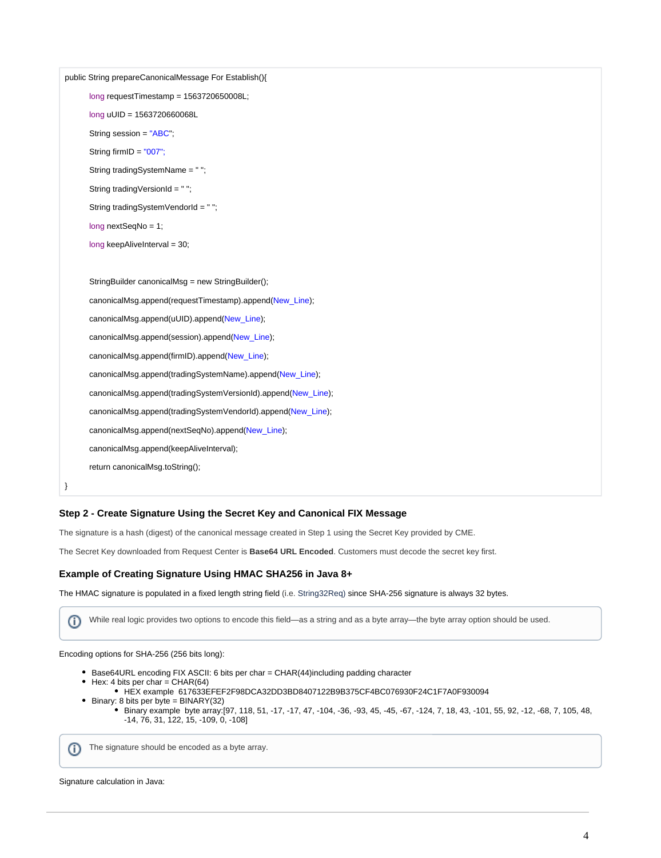|   | public String prepareCanonicalMessage For Establish(){        |  |  |  |  |
|---|---------------------------------------------------------------|--|--|--|--|
|   | $long$ requestTimestamp = 1563720650008L;                     |  |  |  |  |
|   | long uUID = 1563720660068L                                    |  |  |  |  |
|   | String session = "ABC";                                       |  |  |  |  |
|   | String firmID = $"007"$ ;                                     |  |  |  |  |
|   | String tradingSystemName = "";                                |  |  |  |  |
|   | String tradingVersionId = "";                                 |  |  |  |  |
|   | String tradingSystemVendorId = "";                            |  |  |  |  |
|   | $long nextSeqNo = 1$ ;                                        |  |  |  |  |
|   | long keepAliveInterval = 30;                                  |  |  |  |  |
|   |                                                               |  |  |  |  |
|   | StringBuilder canonicalMsg = new StringBuilder();             |  |  |  |  |
|   | canonicalMsg.append(requestTimestamp).append(New_Line);       |  |  |  |  |
|   | canonicalMsg.append(uUID).append(New_Line);                   |  |  |  |  |
|   | canonicalMsg.append(session).append(New_Line);                |  |  |  |  |
|   | canonicalMsg.append(firmID).append(New_Line);                 |  |  |  |  |
|   | canonicalMsg.append(tradingSystemName).append(New_Line);      |  |  |  |  |
|   | canonicalMsg.append(tradingSystemVersionId).append(New_Line); |  |  |  |  |
|   | canonicalMsg.append(tradingSystemVendorId).append(New_Line);  |  |  |  |  |
|   | canonicalMsg.append(nextSeqNo).append(New_Line);              |  |  |  |  |
|   | canonicalMsg.append(keepAliveInterval);                       |  |  |  |  |
|   | return canonicalMsg.toString();                               |  |  |  |  |
| } |                                                               |  |  |  |  |

### <span id="page-3-0"></span>**Step 2 - Create Signature Using the Secret Key and Canonical FIX Message**

The signature is a hash (digest) of the canonical message created in Step 1 using the Secret Key provided by CME.

The Secret Key downloaded from Request Center is **Base64 URL Encoded**. Customers must decode the secret key first.

### <span id="page-3-1"></span>**Example of Creating Signature Using HMAC SHA256 in Java 8+**

The HMAC signature is populated in a fixed length string field (i.e. String32Req) since SHA-256 signature is always 32 bytes.

൘ While real logic provides two options to encode this field—as a string and as a byte array—the byte array option should be used.

Encoding options for SHA-256 (256 bits long):

- Base64URL encoding FIX ASCII: 6 bits per char = CHAR(44)including padding character
- $\bullet$  Hex: 4 bits per char = CHAR(64)
	- HEX example 617633EFEF2F98DCA32DD3BD8407122B9B375CF4BC076930F24C1F7A0F930094
- Binary: 8 bits per byte = BINARY(32) Binary example byte array:[97, 118, 51, -17, -17, 47, -104, -36, -93, 45, -45, -67, -124, 7, 18, 43, -101, 55, 92, -12, -68, 7, 105, 48, -14, 76, 31, 122, 15, -109, 0, -108]

The signature should be encoded as a byte array.

Signature calculation in Java: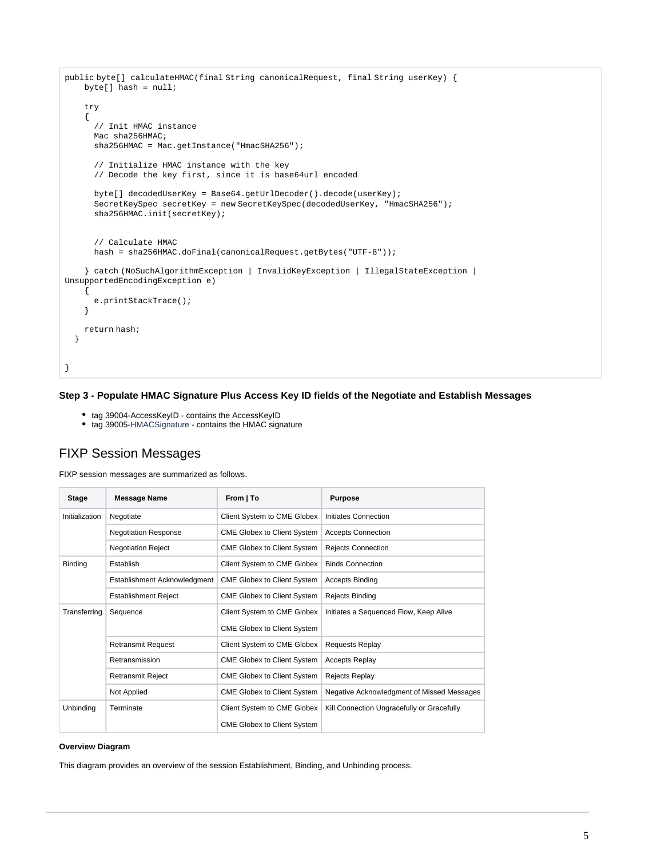```
public byte[] calculateHMAC(final String canonicalRequest, final String userKey) {
    byte[] hash = null;
     try
     {
       // Init HMAC instance
      Mac sha256HMAC;
       sha256HMAC = Mac.getInstance("HmacSHA256");
       // Initialize HMAC instance with the key
       // Decode the key first, since it is base64url encoded
       byte[] decodedUserKey = Base64.getUrlDecoder().decode(userKey);
       SecretKeySpec secretKey = new SecretKeySpec(decodedUserKey, "HmacSHA256");
       sha256HMAC.init(secretKey);
       // Calculate HMAC
       hash = sha256HMAC.doFinal(canonicalRequest.getBytes("UTF-8"));
     } catch (NoSuchAlgorithmException | InvalidKeyException | IllegalStateException | 
UnsupportedEncodingException e)
     {
       e.printStackTrace();
     }
     return hash;
   }
}
```
### <span id="page-4-0"></span>**Step 3 - Populate HMAC Signature Plus Access Key ID fields of the Negotiate and Establish Messages**

- tag 39004-AccessKeyID contains the AccessKeyID
- tag 39005-HMACSignature contains the HMAC signature

# <span id="page-4-1"></span>FIXP Session Messages

 $\odot$ 

FIXP session messages are summarized as follows.

| <b>Stage</b>   | <b>Message Name</b>          | From   To                          | <b>Purpose</b>                             |
|----------------|------------------------------|------------------------------------|--------------------------------------------|
| Initialization | Negotiate                    | Client System to CME Globex        | Initiates Connection                       |
|                | <b>Negotiation Response</b>  | <b>CME Globex to Client System</b> | <b>Accepts Connection</b>                  |
|                | <b>Negotiation Reject</b>    | <b>CME Globex to Client System</b> | <b>Rejects Connection</b>                  |
| <b>Binding</b> | Establish                    | Client System to CME Globex        | <b>Binds Connection</b>                    |
|                | Establishment Acknowledgment | <b>CME Globex to Client System</b> | <b>Accepts Binding</b>                     |
|                | <b>Establishment Reject</b>  | <b>CME Globex to Client System</b> | <b>Rejects Binding</b>                     |
| Transferring   | Sequence                     | Client System to CME Globex        | Initiates a Sequenced Flow, Keep Alive     |
|                |                              | <b>CME Globex to Client System</b> |                                            |
|                | <b>Retransmit Request</b>    | Client System to CME Globex        | <b>Requests Replay</b>                     |
|                | Retransmission               | <b>CME Globex to Client System</b> | <b>Accepts Replay</b>                      |
|                | <b>Retransmit Reject</b>     | <b>CME Globex to Client System</b> | <b>Rejects Replay</b>                      |
|                | Not Applied                  | <b>CME Globex to Client System</b> | Negative Acknowledgment of Missed Messages |
| Unbinding      | Terminate                    | Client System to CME Globex        | Kill Connection Ungracefully or Gracefully |
|                |                              | <b>CME Globex to Client System</b> |                                            |

#### **Overview Diagram**

This diagram provides an overview of the session Establishment, Binding, and Unbinding process.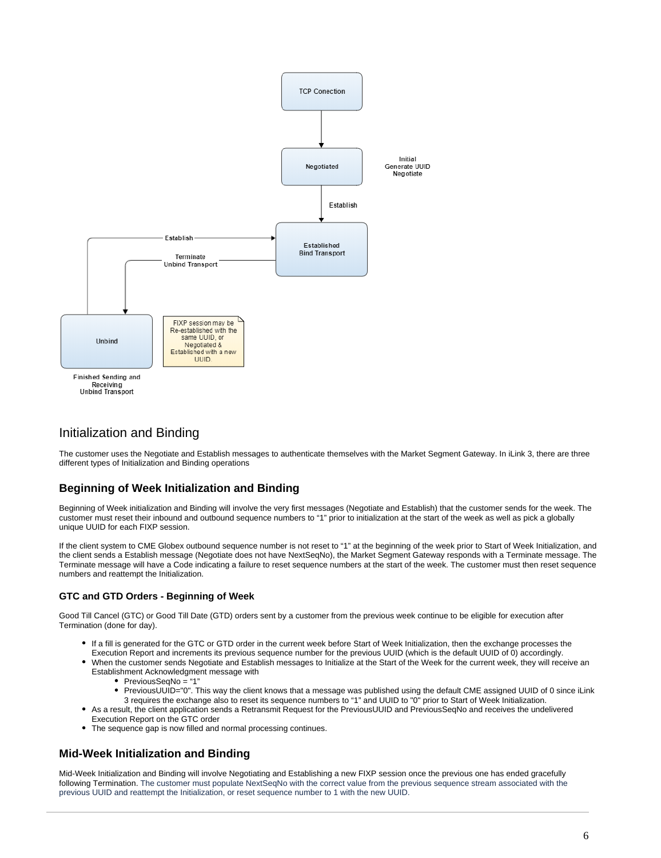

# <span id="page-5-1"></span>Initialization and Binding

The customer uses the Negotiate and Establish messages to authenticate themselves with the Market Segment Gateway. In iLink 3, there are three different types of Initialization and Binding operations

# <span id="page-5-2"></span>**Beginning of Week Initialization and Binding**

Beginning of Week initialization and Binding will involve the very first messages (Negotiate and Establish) that the customer sends for the week. The customer must reset their inbound and outbound sequence numbers to "1" prior to initialization at the start of the week as well as pick a globally unique UUID for each FIXP session.

If the client system to CME Globex outbound sequence number is not reset to "1" at the beginning of the week prior to Start of Week Initialization, and the client sends a Establish message (Negotiate does not have NextSeqNo), the Market Segment Gateway responds with a Terminate message. The Terminate message will have a Code indicating a failure to reset sequence numbers at the start of the week. The customer must then reset sequence numbers and reattempt the Initialization.

### <span id="page-5-3"></span>**GTC and GTD Orders - Beginning of Week**

Good Till Cancel (GTC) or Good Till Date (GTD) orders sent by a customer from the previous week continue to be eligible for execution after Termination (done for day).

- If a fill is generated for the GTC or GTD order in the current week before Start of Week Initialization, then the exchange processes the Execution Report and increments its previous sequence number for the previous UUID (which is the default UUID of 0) accordingly.
- When the customer sends Negotiate and Establish messages to Initialize at the Start of the Week for the current week, they will receive an Establishment Acknowledgment message with
	- PreviousSeqNo = "1"
	- PreviousUUID="0". This way the client knows that a message was published using the default CME assigned UUID of 0 since iLink 3 requires the exchange also to reset its sequence numbers to "1" and UUID to "0" prior to Start of Week Initialization.
	- As a result, the client application sends a Retransmit Request for the PreviousUUID and PreviousSeqNo and receives the undelivered
- Execution Report on the GTC order  $\bullet$ The sequence gap is now filled and normal processing continues.

# <span id="page-5-0"></span>**Mid-Week Initialization and Binding**

Mid-Week Initialization and Binding will involve Negotiating and Establishing a new FIXP session once the previous one has ended gracefully following Termination. The customer must populate NextSeqNo with the correct value from the previous sequence stream associated with the previous UUID and reattempt the Initialization, or reset sequence number to 1 with the new UUID.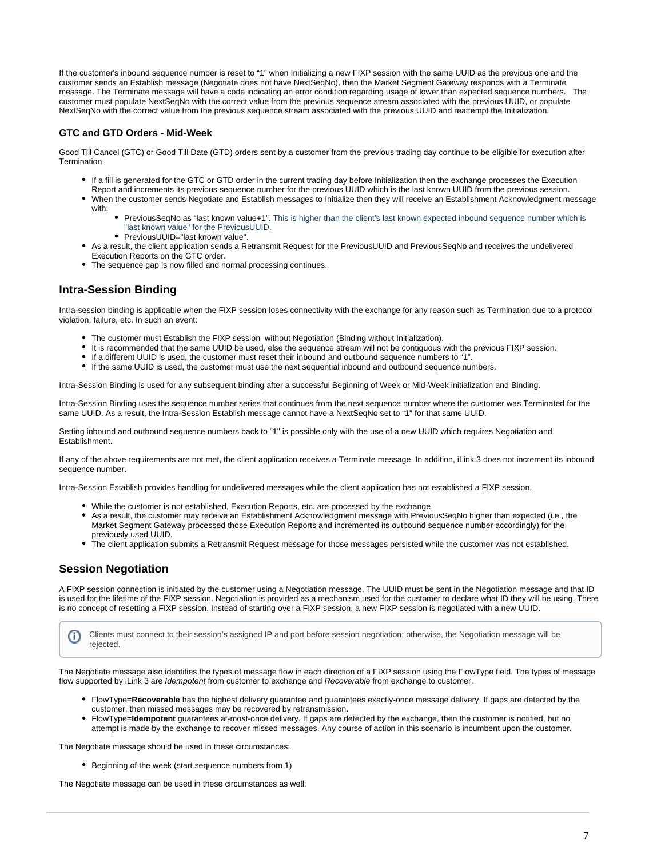If the customer's inbound sequence number is reset to "1" when Initializing a new FIXP session with the same UUID as the previous one and the customer sends an Establish message (Negotiate does not have NextSeqNo), then the Market Segment Gateway responds with a Terminate message. The Terminate message will have a code indicating an error condition regarding usage of lower than expected sequence numbers. The customer must populate NextSeqNo with the correct value from the previous sequence stream associated with the previous UUID, or populate NextSeqNo with the correct value from the previous sequence stream associated with the previous UUID and reattempt the Initialization.

### <span id="page-6-0"></span>**GTC and GTD Orders - Mid-Week**

Good Till Cancel (GTC) or Good Till Date (GTD) orders sent by a customer from the previous trading day continue to be eligible for execution after **Termination** 

- If a fill is generated for the GTC or GTD order in the current trading day before Initialization then the exchange processes the Execution Report and increments its previous sequence number for the previous UUID which is the last known UUID from the previous session.
- When the customer sends Negotiate and Establish messages to Initialize then they will receive an Establishment Acknowledgment message with:
	- PreviousSeqNo as "last known value+1". This is higher than the client's last known expected inbound sequence number which is "last known value" for the PreviousUUID.
	- PreviousUUID="last known value".
- As a result, the client application sends a Retransmit Request for the PreviousUUID and PreviousSeqNo and receives the undelivered Execution Reports on the GTC order.
- The sequence gap is now filled and normal processing continues.

# <span id="page-6-1"></span>**Intra-Session Binding**

Intra-session binding is applicable when the FIXP session loses connectivity with the exchange for any reason such as Termination due to a protocol violation, failure, etc. In such an event:

- The customer must Establish the FIXP session without Negotiation (Binding without Initialization).
- It is recommended that the same UUID be used, else the sequence stream will not be contiguous with the previous FIXP session.
- If a different UUID is used, the customer must reset their inbound and outbound sequence numbers to "1".
- If the same UUID is used, the customer must use the next sequential inbound and outbound sequence numbers.

Intra-Session Binding is used for any subsequent binding after a successful Beginning of Week or Mid-Week initialization and Binding.

Intra-Session Binding uses the sequence number series that continues from the next sequence number where the customer was Terminated for the same UUID. As a result, the Intra-Session Establish message cannot have a NextSeqNo set to "1" for that same UUID.

Setting inbound and outbound sequence numbers back to "1" is possible only with the use of a new UUID which requires Negotiation and Establishment.

If any of the above requirements are not met, the client application receives a Terminate message. In addition, iLink 3 does not increment its inbound sequence number.

Intra-Session Establish provides handling for undelivered messages while the client application has not established a FIXP session.

- While the customer is not established, Execution Reports, etc. are processed by the exchange.
- As a result, the customer may receive an Establishment Acknowledgment message with PreviousSeqNo higher than expected (i.e., the Market Segment Gateway processed those Execution Reports and incremented its outbound sequence number accordingly) for the previously used UUID.
- The client application submits a Retransmit Request message for those messages persisted while the customer was not established.

### <span id="page-6-2"></span>**Session Negotiation**

O

A FIXP session connection is initiated by the customer using a Negotiation message. The UUID must be sent in the Negotiation message and that ID is used for the lifetime of the FIXP session. Negotiation is provided as a mechanism used for the customer to declare what ID they will be using. There is no concept of resetting a FIXP session. Instead of starting over a FIXP session, a new FIXP session is negotiated with a new UUID.

Clients must connect to their session's assigned IP and port before session negotiation; otherwise, the Negotiation message will be rejected.

The Negotiate message also identifies the types of message flow in each direction of a FIXP session using the FlowType field. The types of message flow supported by iLink 3 are Idempotent from customer to exchange and Recoverable from exchange to customer.

- FlowType=**Recoverable** has the highest delivery guarantee and guarantees exactly-once message delivery. If gaps are detected by the customer, then missed messages may be recovered by retransmission.
- FlowType=**Idempotent** guarantees at-most-once delivery. If gaps are detected by the exchange, then the customer is notified, but no attempt is made by the exchange to recover missed messages. Any course of action in this scenario is incumbent upon the customer.

The Negotiate message should be used in these circumstances:

• Beginning of the week (start sequence numbers from 1)

The Negotiate message can be used in these circumstances as well: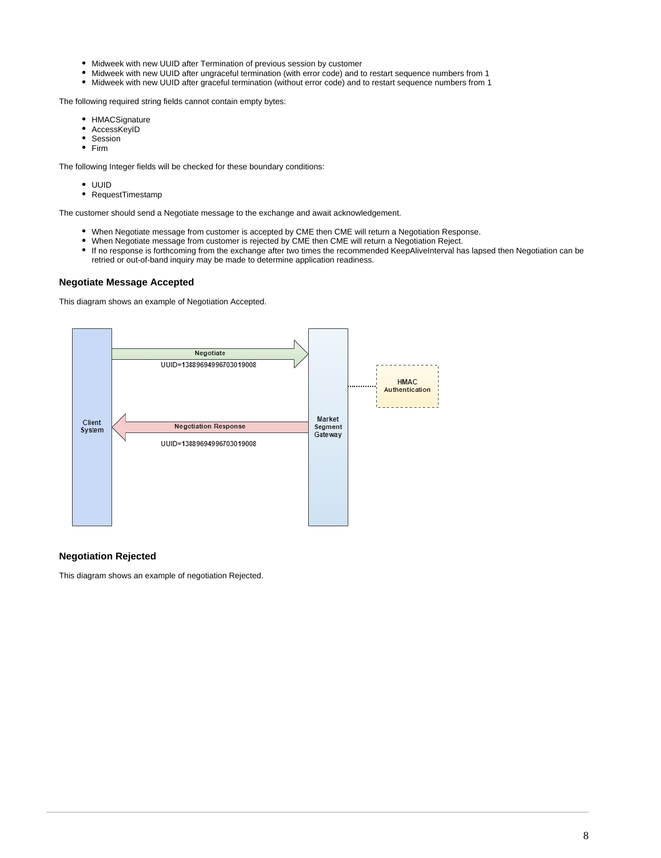- Midweek with new UUID after Termination of previous session by customer
- Midweek with new UUID after ungraceful termination (with error code) and to restart sequence numbers from 1  $\bullet$
- Midweek with new UUID after graceful termination (without error code) and to restart sequence numbers from 1

The following required string fields cannot contain empty bytes:

- HMACSignature
- $\bullet$ **AccessKeyID**
- $\bullet$ Session
- Firm

The following Integer fields will be checked for these boundary conditions:

- UUID
- RequestTimestamp  $\bullet$

The customer should send a Negotiate message to the exchange and await acknowledgement.

- $\bullet$ When Negotiate message from customer is accepted by CME then CME will return a Negotiation Response.
- $\bullet$ When Negotiate message from customer is rejected by CME then CME will return a Negotiation Reject.
- If no response is forthcoming from the exchange after two times the recommended KeepAliveInterval has lapsed then Negotiation can be retried or out-of-band inquiry may be made to determine application readiness.

#### <span id="page-7-0"></span>**Negotiate Message Accepted**

This diagram shows an example of Negotiation Accepted.



### <span id="page-7-1"></span>**Negotiation Rejected**

This diagram shows an example of negotiation Rejected.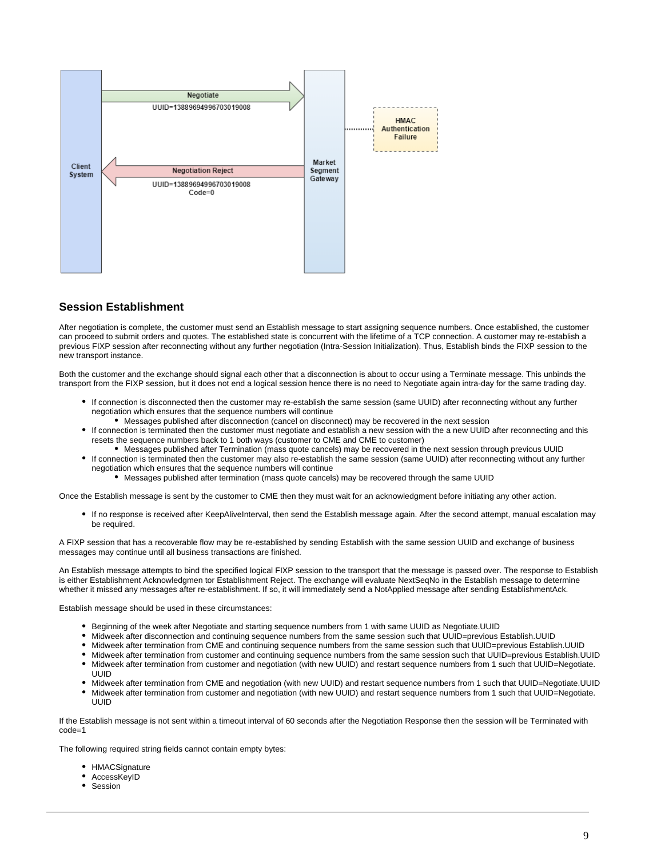

### <span id="page-8-0"></span>**Session Establishment**

After negotiation is complete, the customer must send an Establish message to start assigning sequence numbers. Once established, the customer can proceed to submit orders and quotes. The established state is concurrent with the lifetime of a TCP connection. A customer may re-establish a previous FIXP session after reconnecting without any further negotiation (Intra-Session Initialization). Thus, Establish binds the FIXP session to the new transport instance.

Both the customer and the exchange should signal each other that a disconnection is about to occur using a Terminate message. This unbinds the transport from the FIXP session, but it does not end a logical session hence there is no need to Negotiate again intra-day for the same trading day.

- If connection is disconnected then the customer may re-establish the same session (same UUID) after reconnecting without any further negotiation which ensures that the sequence numbers will continue
	- Messages published after disconnection (cancel on disconnect) may be recovered in the next session
- If connection is terminated then the customer must negotiate and establish a new session with the a new UUID after reconnecting and this resets the sequence numbers back to 1 both ways (customer to CME and CME to customer)
	- Messages published after Termination (mass quote cancels) may be recovered in the next session through previous UUID
	- If connection is terminated then the customer may also re-establish the same session (same UUID) after reconnecting without any further negotiation which ensures that the sequence numbers will continue
		- Messages published after termination (mass quote cancels) may be recovered through the same UUID

Once the Establish message is sent by the customer to CME then they must wait for an acknowledgment before initiating any other action.

If no response is received after KeepAliveInterval, then send the Establish message again. After the second attempt, manual escalation may be required.

A FIXP session that has a recoverable flow may be re-established by sending Establish with the same session UUID and exchange of business messages may continue until all business transactions are finished.

An Establish message attempts to bind the specified logical FIXP session to the transport that the message is passed over. The response to Establish is either Establishment Acknowledgmen tor Establishment Reject. The exchange will evaluate NextSeqNo in the Establish message to determine whether it missed any messages after re-establishment. If so, it will immediately send a NotApplied message after sending EstablishmentAck.

Establish message should be used in these circumstances:

- Beginning of the week after Negotiate and starting sequence numbers from 1 with same UUID as Negotiate.UUID
- Midweek after disconnection and continuing sequence numbers from the same session such that UUID=previous Establish.UUID
- Midweek after termination from CME and continuing sequence numbers from the same session such that UUID=previous Establish.UUID
- Midweek after termination from customer and continuing sequence numbers from the same session such that UUID=previous Establish.UUID Midweek after termination from customer and negotiation (with new UUID) and restart sequence numbers from 1 such that UUID=Negotiate.
- UUID  $\bullet$
- Midweek after termination from CME and negotiation (with new UUID) and restart sequence numbers from 1 such that UUID=Negotiate.UUID
- Midweek after termination from customer and negotiation (with new UUID) and restart sequence numbers from 1 such that UUID=Negotiate. UUID

If the Establish message is not sent within a timeout interval of 60 seconds after the Negotiation Response then the session will be Terminated with code=1

The following required string fields cannot contain empty bytes:

- **HMACSignature**
- AccessKeyID
- Session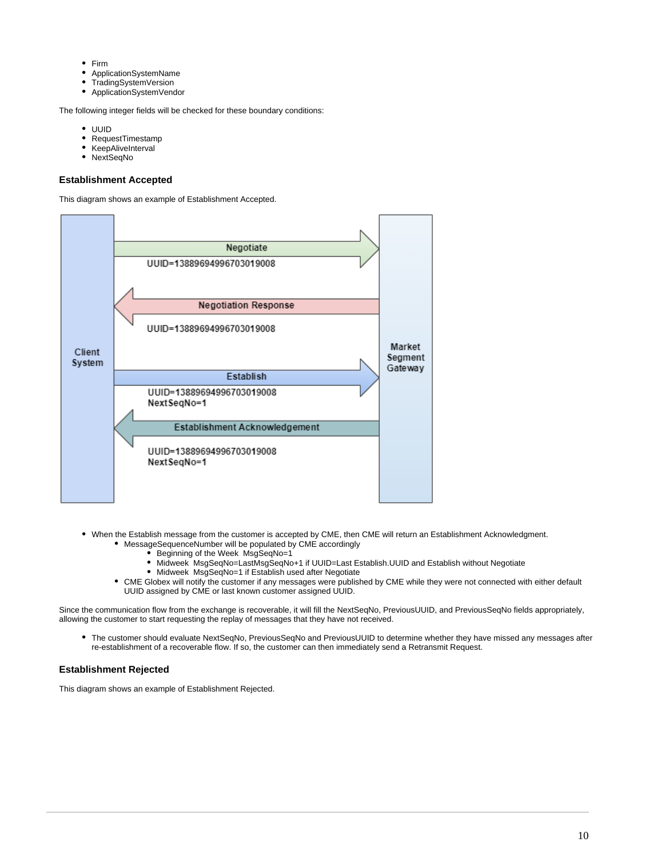- $\bullet$ Firm
- ApplicationSystemName
- TradingSystemVersion
- ApplicationSystemVendor

The following integer fields will be checked for these boundary conditions:

- UUID
- RequestTimestamp
- KeepAliveInterval
- NextSeqNo  $\bullet$

#### <span id="page-9-0"></span>**Establishment Accepted**

This diagram shows an example of Establishment Accepted.



- When the Establish message from the customer is accepted by CME, then CME will return an Establishment Acknowledgment. MessageSequenceNumber will be populated by CME accordingly
	- Beginning of the Week MsgSeqNo=1
	- Midweek MsgSeqNo=LastMsgSeqNo+1 if UUID=Last Establish.UUID and Establish without Negotiate
	- Midweek MsgSeqNo=1 if Establish used after Negotiate
	- CME Globex will notify the customer if any messages were published by CME while they were not connected with either default UUID assigned by CME or last known customer assigned UUID.

Since the communication flow from the exchange is recoverable, it will fill the NextSegNo, PreviousUUID, and PreviousSegNo fields appropriately, allowing the customer to start requesting the replay of messages that they have not received.

The customer should evaluate NextSeqNo, PreviousSeqNo and PreviousUUID to determine whether they have missed any messages after re-establishment of a recoverable flow. If so, the customer can then immediately send a Retransmit Request.

#### <span id="page-9-1"></span>**Establishment Rejected**

This diagram shows an example of Establishment Rejected.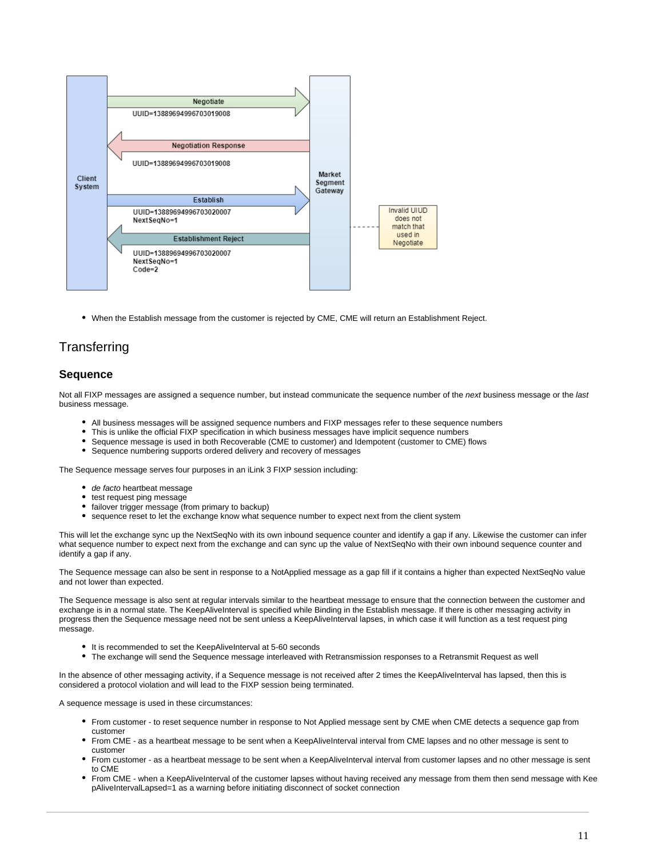

When the Establish message from the customer is rejected by CME, CME will return an Establishment Reject.

# <span id="page-10-0"></span>**Transferring**

### <span id="page-10-1"></span>**Sequence**

Not all FIXP messages are assigned a sequence number, but instead communicate the sequence number of the next business message or the last business message.

- All business messages will be assigned sequence numbers and FIXP messages refer to these sequence numbers
- This is unlike the official FIXP specification in which business messages have implicit sequence numbers
- Sequence message is used in both Recoverable (CME to customer) and Idempotent (customer to CME) flows
- Sequence numbering supports ordered delivery and recovery of messages

The Sequence message serves four purposes in an iLink 3 FIXP session including:

- de facto heartbeat message
- test request ping message
- failover trigger message (from primary to backup)
- sequence reset to let the exchange know what sequence number to expect next from the client system

This will let the exchange sync up the NextSeqNo with its own inbound sequence counter and identify a gap if any. Likewise the customer can infer what sequence number to expect next from the exchange and can sync up the value of NextSeqNo with their own inbound sequence counter and identify a gap if any.

The Sequence message can also be sent in response to a NotApplied message as a gap fill if it contains a higher than expected NextSeqNo value and not lower than expected.

The Sequence message is also sent at regular intervals similar to the heartbeat message to ensure that the connection between the customer and exchange is in a normal state. The KeepAliveInterval is specified while Binding in the Establish message. If there is other messaging activity in progress then the Sequence message need not be sent unless a KeepAliveInterval lapses, in which case it will function as a test request ping message.

- It is recommended to set the KeepAliveInterval at 5-60 seconds
- The exchange will send the Sequence message interleaved with Retransmission responses to a Retransmit Request as well

In the absence of other messaging activity, if a Sequence message is not received after 2 times the KeepAliveInterval has lapsed, then this is considered a protocol violation and will lead to the FIXP session being terminated.

A sequence message is used in these circumstances:

- From customer to reset sequence number in response to Not Applied message sent by CME when CME detects a sequence gap from customer
- From CME as a heartbeat message to be sent when a KeepAliveInterval interval from CME lapses and no other message is sent to customer
- From customer as a heartbeat message to be sent when a KeepAliveInterval interval from customer lapses and no other message is sent to CME
- From CME when a KeepAliveInterval of the customer lapses without having received any message from them then send message with Kee pAliveIntervalLapsed=1 as a warning before initiating disconnect of socket connection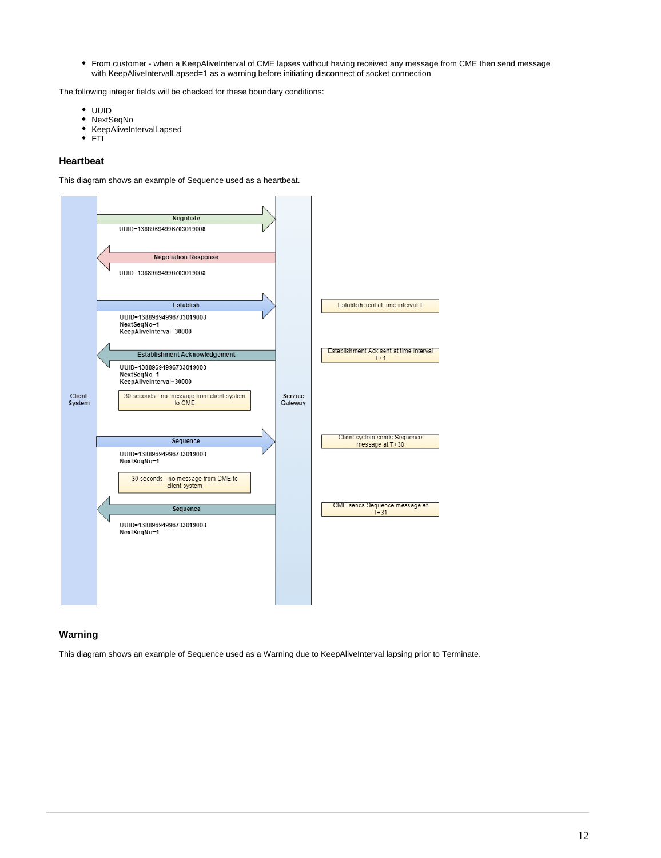From customer - when a KeepAliveInterval of CME lapses without having received any message from CME then send message with KeepAliveIntervalLapsed=1 as a warning before initiating disconnect of socket connection

The following integer fields will be checked for these boundary conditions:

- UUID
- NextSeqNo
- KeepAliveIntervalLapsed
- $\bullet$ **FTI**

### <span id="page-11-0"></span>**Heartbeat**

This diagram shows an example of Sequence used as a heartbeat.



### <span id="page-11-1"></span>**Warning**

This diagram shows an example of Sequence used as a Warning due to KeepAliveInterval lapsing prior to Terminate.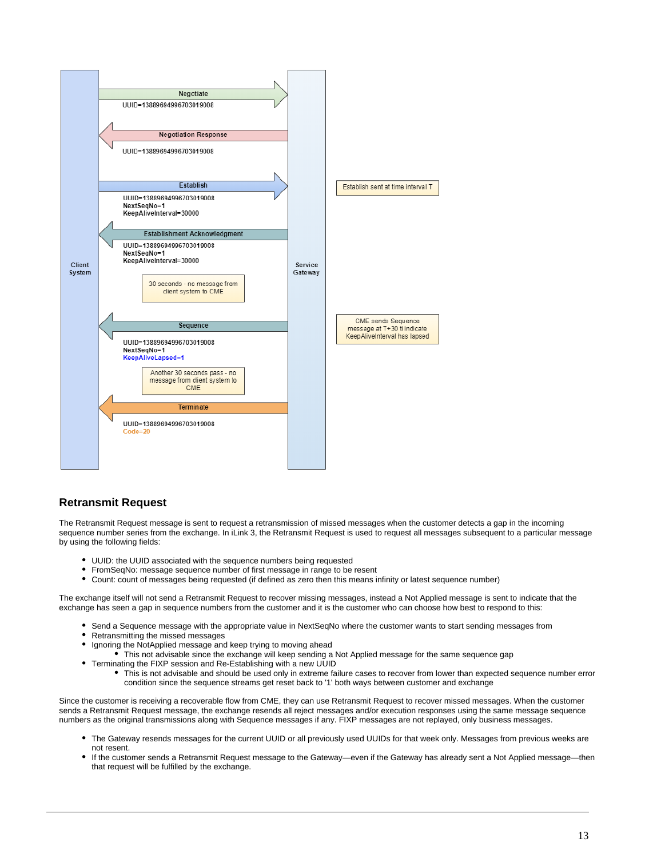

### <span id="page-12-0"></span>**Retransmit Request**

The Retransmit Request message is sent to request a retransmission of missed messages when the customer detects a gap in the incoming sequence number series from the exchange. In iLink 3, the Retransmit Request is used to request all messages subsequent to a particular message by using the following fields:

- UUID: the UUID associated with the sequence numbers being requested
- FromSeqNo: message sequence number of first message in range to be resent
- Count: count of messages being requested (if defined as zero then this means infinity or latest sequence number)

The exchange itself will not send a Retransmit Request to recover missing messages, instead a Not Applied message is sent to indicate that the exchange has seen a gap in sequence numbers from the customer and it is the customer who can choose how best to respond to this:

- Send a Sequence message with the appropriate value in NextSeqNo where the customer wants to start sending messages from
- Retransmitting the missed messages
- Ignoring the NotApplied message and keep trying to moving ahead
	- This not advisable since the exchange will keep sending a Not Applied message for the same sequence gap
- Terminating the FIXP session and Re-Establishing with a new UUID
	- This is not advisable and should be used only in extreme failure cases to recover from lower than expected sequence number error condition since the sequence streams get reset back to '1' both ways between customer and exchange

Since the customer is receiving a recoverable flow from CME, they can use Retransmit Request to recover missed messages. When the customer sends a Retransmit Request message, the exchange resends all reject messages and/or execution responses using the same message sequence numbers as the original transmissions along with Sequence messages if any. FIXP messages are not replayed, only business messages.

- The Gateway resends messages for the current UUID or all previously used UUIDs for that week only. Messages from previous weeks are not resent.
- If the customer sends a Retransmit Request message to the Gateway—even if the Gateway has already sent a Not Applied message—then that request will be fulfilled by the exchange.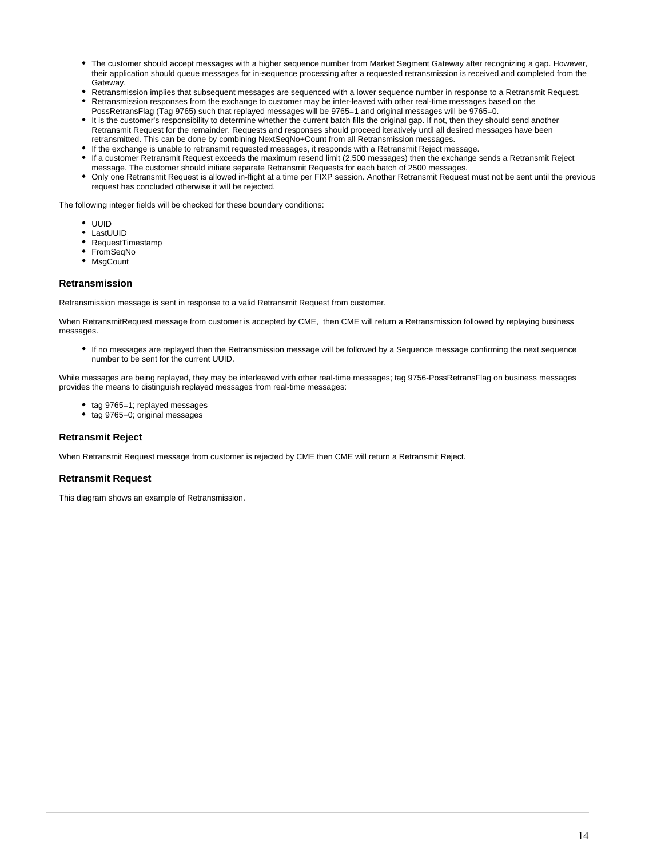- The customer should accept messages with a higher sequence number from Market Segment Gateway after recognizing a gap. However, their application should queue messages for in-sequence processing after a requested retransmission is received and completed from the Gateway.
- Retransmission implies that subsequent messages are sequenced with a lower sequence number in response to a Retransmit Request.
- Retransmission responses from the exchange to customer may be inter-leaved with other real-time messages based on the PossRetransFlag (Tag 9765) such that replayed messages will be 9765=1 and original messages will be 9765=0.
- It is the customer's responsibility to determine whether the current batch fills the original gap. If not, then they should send another Retransmit Request for the remainder. Requests and responses should proceed iteratively until all desired messages have been retransmitted. This can be done by combining NextSeqNo+Count from all Retransmission messages.
- If the exchange is unable to retransmit requested messages, it responds with a Retransmit Reject message.
- If a customer Retransmit Request exceeds the maximum resend limit (2,500 messages) then the exchange sends a Retransmit Reject message. The customer should initiate separate Retransmit Requests for each batch of 2500 messages.
- Only one Retransmit Request is allowed in-flight at a time per FIXP session. Another Retransmit Request must not be sent until the previous request has concluded otherwise it will be rejected.

The following integer fields will be checked for these boundary conditions:

- UUID
- LastUUID
- RequestTimestamp
- FromSeqNo
- **MsgCount**

### <span id="page-13-0"></span>**Retransmission**

Retransmission message is sent in response to a valid Retransmit Request from customer.

When RetransmitRequest message from customer is accepted by CME, then CME will return a Retransmission followed by replaying business messages

If no messages are replayed then the Retransmission message will be followed by a Sequence message confirming the next sequence number to be sent for the current UUID.

While messages are being replayed, they may be interleaved with other real-time messages; tag 9756-PossRetransFlag on business messages provides the means to distinguish replayed messages from real-time messages:

- tag 9765=1; replayed messages
- tag 9765=0; original messages

### <span id="page-13-1"></span>**Retransmit Reject**

When Retransmit Request message from customer is rejected by CME then CME will return a Retransmit Reject.

### <span id="page-13-2"></span>**Retransmit Request**

This diagram shows an example of Retransmission.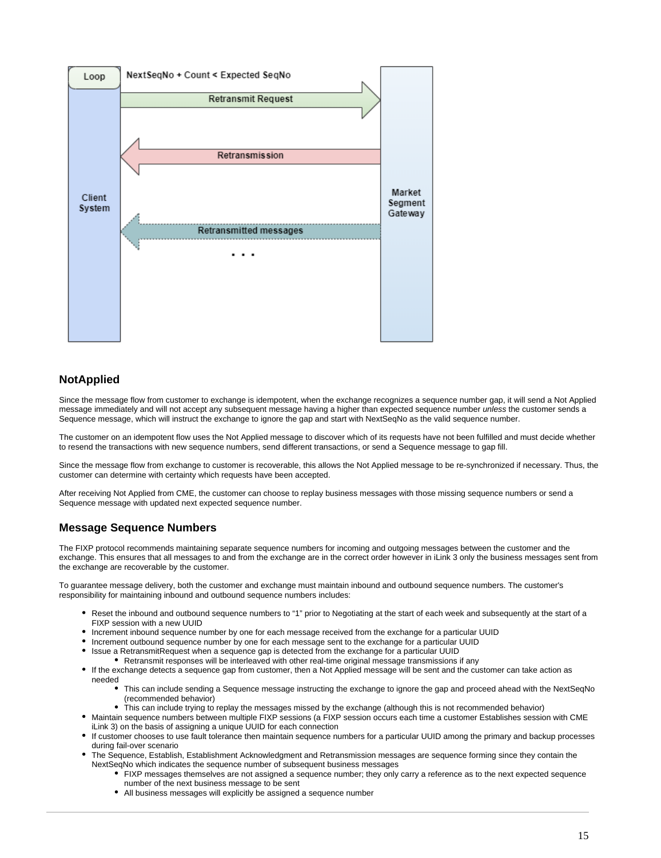

# <span id="page-14-0"></span>**NotApplied**

Since the message flow from customer to exchange is idempotent, when the exchange recognizes a sequence number gap, it will send a Not Applied message immediately and will not accept any subsequent message having a higher than expected sequence number *unless* the customer sends a Sequence message, which will instruct the exchange to ignore the gap and start with NextSeqNo as the valid sequence number.

The customer on an idempotent flow uses the Not Applied message to discover which of its requests have not been fulfilled and must decide whether to resend the transactions with new sequence numbers, send different transactions, or send a Sequence message to gap fill.

Since the message flow from exchange to customer is recoverable, this allows the Not Applied message to be re-synchronized if necessary. Thus, the customer can determine with certainty which requests have been accepted.

After receiving Not Applied from CME, the customer can choose to replay business messages with those missing sequence numbers or send a Sequence message with updated next expected sequence number.

# <span id="page-14-1"></span>**Message Sequence Numbers**

The FIXP protocol recommends maintaining separate sequence numbers for incoming and outgoing messages between the customer and the exchange. This ensures that all messages to and from the exchange are in the correct order however in iLink 3 only the business messages sent from the exchange are recoverable by the customer.

To guarantee message delivery, both the customer and exchange must maintain inbound and outbound sequence numbers. The customer's responsibility for maintaining inbound and outbound sequence numbers includes:

- Reset the inbound and outbound sequence numbers to "1" prior to Negotiating at the start of each week and subsequently at the start of a FIXP session with a new UUID
- Increment inbound sequence number by one for each message received from the exchange for a particular UUID
- Increment outbound sequence number by one for each message sent to the exchange for a particular UUID
- Issue a RetransmitRequest when a sequence gap is detected from the exchange for a particular UUID
- Retransmit responses will be interleaved with other real-time original message transmissions if any
- If the exchange detects a sequence gap from customer, then a Not Applied message will be sent and the customer can take action as needed
	- This can include sending a Sequence message instructing the exchange to ignore the gap and proceed ahead with the NextSeqNo (recommended behavior)
	- This can include trying to replay the messages missed by the exchange (although this is not recommended behavior)
- Maintain sequence numbers between multiple FIXP sessions (a FIXP session occurs each time a customer Establishes session with CME iLink 3) on the basis of assigning a unique UUID for each connection
- If customer chooses to use fault tolerance then maintain sequence numbers for a particular UUID among the primary and backup processes during fail-over scenario
- The Sequence, Establish, Establishment Acknowledgment and Retransmission messages are sequence forming since they contain the NextSeqNo which indicates the sequence number of subsequent business messages
	- FIXP messages themselves are not assigned a sequence number; they only carry a reference as to the next expected sequence number of the next business message to be sent
	- All business messages will explicitly be assigned a sequence number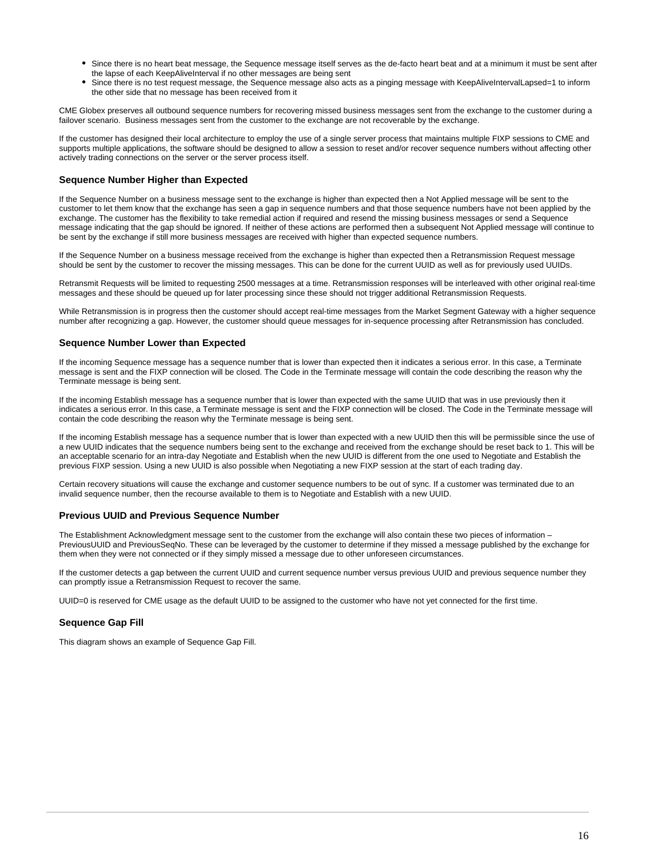- Since there is no heart beat message, the Sequence message itself serves as the de-facto heart beat and at a minimum it must be sent after the lapse of each KeepAliveInterval if no other messages are being sent
- Since there is no test request message, the Sequence message also acts as a pinging message with KeepAliveIntervalLapsed=1 to inform the other side that no message has been received from it

CME Globex preserves all outbound sequence numbers for recovering missed business messages sent from the exchange to the customer during a failover scenario. Business messages sent from the customer to the exchange are not recoverable by the exchange.

If the customer has designed their local architecture to employ the use of a single server process that maintains multiple FIXP sessions to CME and supports multiple applications, the software should be designed to allow a session to reset and/or recover sequence numbers without affecting other actively trading connections on the server or the server process itself.

### <span id="page-15-0"></span>**Sequence Number Higher than Expected**

If the Sequence Number on a business message sent to the exchange is higher than expected then a Not Applied message will be sent to the customer to let them know that the exchange has seen a gap in sequence numbers and that those sequence numbers have not been applied by the exchange. The customer has the flexibility to take remedial action if required and resend the missing business messages or send a Sequence message indicating that the gap should be ignored. If neither of these actions are performed then a subsequent Not Applied message will continue to be sent by the exchange if still more business messages are received with higher than expected sequence numbers.

If the Sequence Number on a business message received from the exchange is higher than expected then a Retransmission Request message should be sent by the customer to recover the missing messages. This can be done for the current UUID as well as for previously used UUIDs.

Retransmit Requests will be limited to requesting 2500 messages at a time. Retransmission responses will be interleaved with other original real-time messages and these should be queued up for later processing since these should not trigger additional Retransmission Requests.

While Retransmission is in progress then the customer should accept real-time messages from the Market Segment Gateway with a higher sequence number after recognizing a gap. However, the customer should queue messages for in-sequence processing after Retransmission has concluded.

### <span id="page-15-1"></span>**Sequence Number Lower than Expected**

If the incoming Sequence message has a sequence number that is lower than expected then it indicates a serious error. In this case, a Terminate message is sent and the FIXP connection will be closed. The Code in the Terminate message will contain the code describing the reason why the Terminate message is being sent.

If the incoming Establish message has a sequence number that is lower than expected with the same UUID that was in use previously then it indicates a serious error. In this case, a Terminate message is sent and the FIXP connection will be closed. The Code in the Terminate message will contain the code describing the reason why the Terminate message is being sent.

If the incoming Establish message has a sequence number that is lower than expected with a new UUID then this will be permissible since the use of a new UUID indicates that the sequence numbers being sent to the exchange and received from the exchange should be reset back to 1. This will be an acceptable scenario for an intra-day Negotiate and Establish when the new UUID is different from the one used to Negotiate and Establish the previous FIXP session. Using a new UUID is also possible when Negotiating a new FIXP session at the start of each trading day.

Certain recovery situations will cause the exchange and customer sequence numbers to be out of sync. If a customer was terminated due to an invalid sequence number, then the recourse available to them is to Negotiate and Establish with a new UUID.

#### <span id="page-15-2"></span>**Previous UUID and Previous Sequence Number**

The Establishment Acknowledgment message sent to the customer from the exchange will also contain these two pieces of information – PreviousUUID and PreviousSeqNo. These can be leveraged by the customer to determine if they missed a message published by the exchange for them when they were not connected or if they simply missed a message due to other unforeseen circumstances.

If the customer detects a gap between the current UUID and current sequence number versus previous UUID and previous sequence number they can promptly issue a Retransmission Request to recover the same.

UUID=0 is reserved for CME usage as the default UUID to be assigned to the customer who have not yet connected for the first time.

### <span id="page-15-3"></span>**Sequence Gap Fill**

This diagram shows an example of Sequence Gap Fill.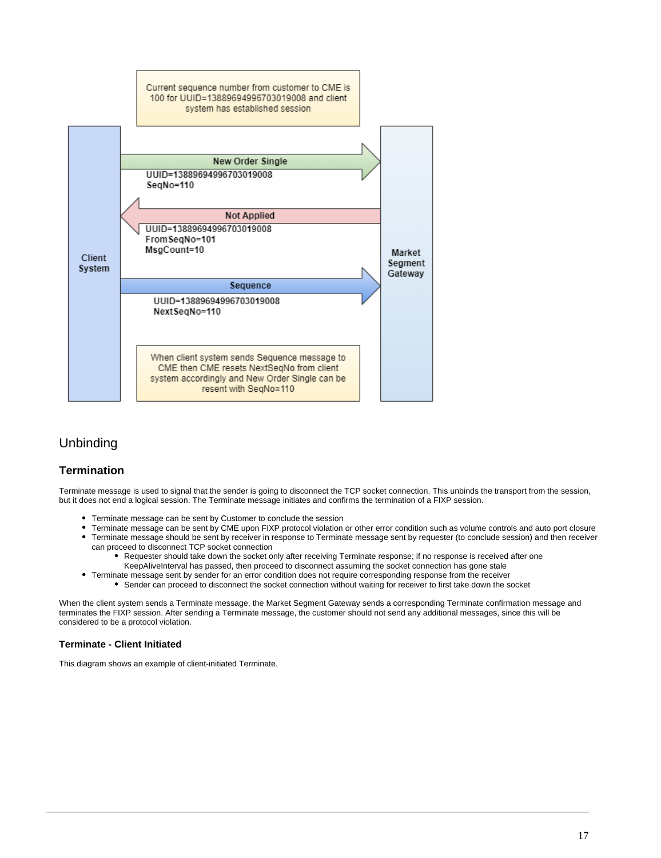

# <span id="page-16-0"></span>Unbinding

### <span id="page-16-1"></span>**Termination**

Terminate message is used to signal that the sender is going to disconnect the TCP socket connection. This unbinds the transport from the session, but it does not end a logical session. The Terminate message initiates and confirms the termination of a FIXP session.

- Terminate message can be sent by Customer to conclude the session
- Terminate message can be sent by CME upon FIXP protocol violation or other error condition such as volume controls and auto port closure Terminate message should be sent by receiver in response to Terminate message sent by requester (to conclude session) and then receiver can proceed to disconnect TCP socket connection
	- Requester should take down the socket only after receiving Terminate response; if no response is received after one KeepAliveInterval has passed, then proceed to disconnect assuming the socket connection has gone stale
- Terminate message sent by sender for an error condition does not require corresponding response from the receiver Sender can proceed to disconnect the socket connection without waiting for receiver to first take down the socket

When the client system sends a Terminate message, the Market Segment Gateway sends a corresponding Terminate confirmation message and terminates the FIXP session. After sending a Terminate message, the customer should not send any additional messages, since this will be considered to be a protocol violation.

### <span id="page-16-2"></span>**Terminate - Client Initiated**

This diagram shows an example of client-initiated Terminate.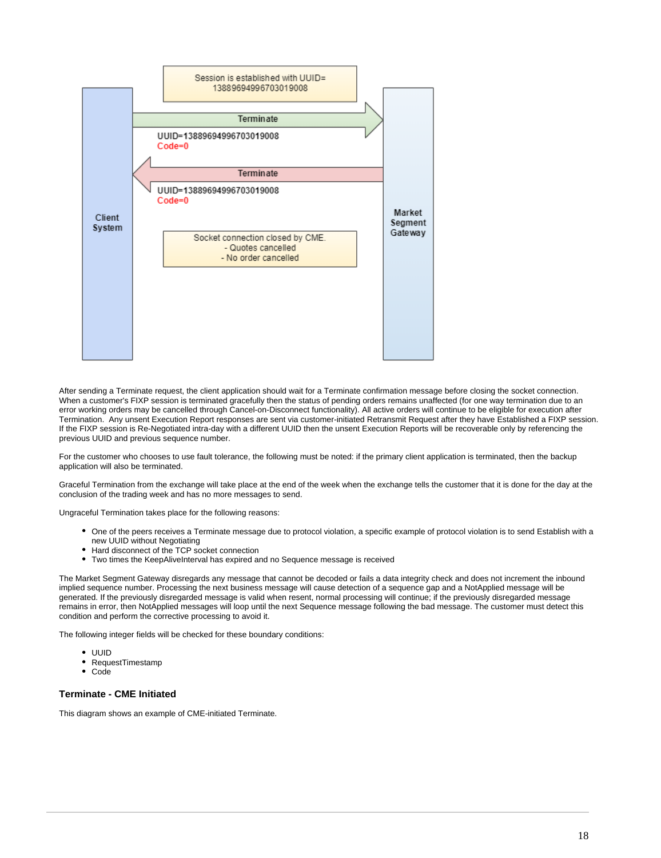

After sending a Terminate request, the client application should wait for a Terminate confirmation message before closing the socket connection. When a customer's FIXP session is terminated gracefully then the status of pending orders remains unaffected (for one way termination due to an error working orders may be cancelled through Cancel-on-Disconnect functionality). All active orders will continue to be eligible for execution after Termination. Any unsent Execution Report responses are sent via customer-initiated Retransmit Request after they have Established a FIXP session. If the FIXP session is Re-Negotiated intra-day with a different UUID then the unsent Execution Reports will be recoverable only by referencing the previous UUID and previous sequence number.

For the customer who chooses to use fault tolerance, the following must be noted: if the primary client application is terminated, then the backup application will also be terminated.

Graceful Termination from the exchange will take place at the end of the week when the exchange tells the customer that it is done for the day at the conclusion of the trading week and has no more messages to send.

Ungraceful Termination takes place for the following reasons:

- One of the peers receives a Terminate message due to protocol violation, a specific example of protocol violation is to send Establish with a new UUID without Negotiating
- Hard disconnect of the TCP socket connection
- Two times the KeepAliveInterval has expired and no Sequence message is received

The Market Segment Gateway disregards any message that cannot be decoded or fails a data integrity check and does not increment the inbound implied sequence number. Processing the next business message will cause detection of a sequence gap and a NotApplied message will be generated. If the previously disregarded message is valid when resent, normal processing will continue; if the previously disregarded message remains in error, then NotApplied messages will loop until the next Sequence message following the bad message. The customer must detect this condition and perform the corrective processing to avoid it.

The following integer fields will be checked for these boundary conditions:

- UUID
- RequestTimestamp
- $\bullet$ Code

### <span id="page-17-0"></span>**Terminate - CME Initiated**

This diagram shows an example of CME-initiated Terminate.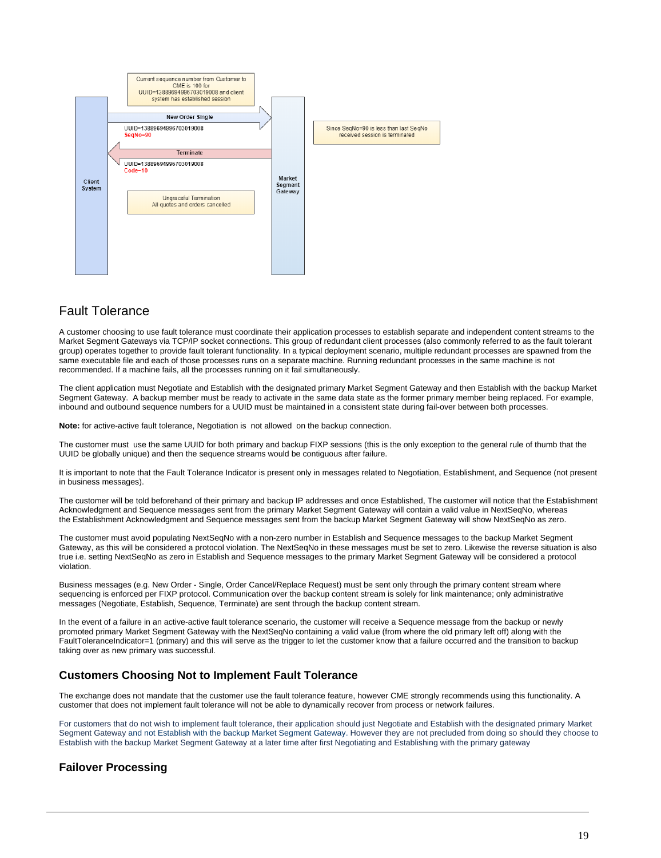

# <span id="page-18-0"></span>Fault Tolerance

A customer choosing to use fault tolerance must coordinate their application processes to establish separate and independent content streams to the Market Segment Gateways via TCP/IP socket connections. This group of redundant client processes (also commonly referred to as the fault tolerant group) operates together to provide fault tolerant functionality. In a typical deployment scenario, multiple redundant processes are spawned from the same executable file and each of those processes runs on a separate machine. Running redundant processes in the same machine is not recommended. If a machine fails, all the processes running on it fail simultaneously.

The client application must Negotiate and Establish with the designated primary Market Segment Gateway and then Establish with the backup Market Segment Gateway. A backup member must be ready to activate in the same data state as the former primary member being replaced. For example, inbound and outbound sequence numbers for a UUID must be maintained in a consistent state during fail-over between both processes.

**Note:** for active-active fault tolerance, Negotiation is not allowed on the backup connection.

The customer must use the same UUID for both primary and backup FIXP sessions (this is the only exception to the general rule of thumb that the UUID be globally unique) and then the sequence streams would be contiguous after failure.

It is important to note that the Fault Tolerance Indicator is present only in messages related to Negotiation, Establishment, and Sequence (not present in business messages).

The customer will be told beforehand of their primary and backup IP addresses and once Established, The customer will notice that the Establishment Acknowledgment and Sequence messages sent from the primary Market Segment Gateway will contain a valid value in NextSeqNo, whereas the Establishment Acknowledgment and Sequence messages sent from the backup Market Segment Gateway will show NextSeqNo as zero.

The customer must avoid populating NextSeqNo with a non-zero number in Establish and Sequence messages to the backup Market Segment Gateway, as this will be considered a protocol violation. The NextSeqNo in these messages must be set to zero. Likewise the reverse situation is also true i.e. setting NextSeqNo as zero in Establish and Sequence messages to the primary Market Segment Gateway will be considered a protocol violation.

Business messages (e.g. New Order - Single, Order Cancel/Replace Request) must be sent only through the primary content stream where sequencing is enforced per FIXP protocol. Communication over the backup content stream is solely for link maintenance; only administrative messages (Negotiate, Establish, Sequence, Terminate) are sent through the backup content stream.

In the event of a failure in an active-active fault tolerance scenario, the customer will receive a Sequence message from the backup or newly promoted primary Market Segment Gateway with the NextSeqNo containing a valid value (from where the old primary left off) along with the FaultToleranceIndicator=1 (primary) and this will serve as the trigger to let the customer know that a failure occurred and the transition to backup taking over as new primary was successful.

# <span id="page-18-1"></span>**Customers Choosing Not to Implement Fault Tolerance**

The exchange does not mandate that the customer use the fault tolerance feature, however CME strongly recommends using this functionality. A customer that does not implement fault tolerance will not be able to dynamically recover from process or network failures.

For customers that do not wish to implement fault tolerance, their application should just Negotiate and Establish with the designated primary Market Segment Gateway and not Establish with the backup Market Segment Gateway. However they are not precluded from doing so should they choose to Establish with the backup Market Segment Gateway at a later time after first Negotiating and Establishing with the primary gateway

# <span id="page-18-2"></span>**Failover Processing**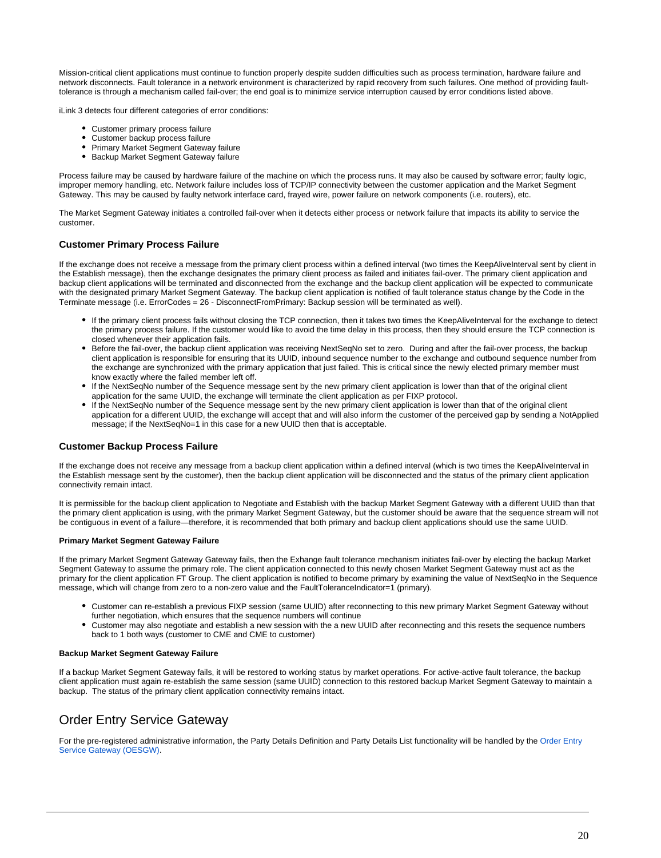Mission-critical client applications must continue to function properly despite sudden difficulties such as process termination, hardware failure and network disconnects. Fault tolerance in a network environment is characterized by rapid recovery from such failures. One method of providing faulttolerance is through a mechanism called fail-over; the end goal is to minimize service interruption caused by error conditions listed above.

iLink 3 detects four different categories of error conditions:

- Customer primary process failure
- Customer backup process failure
- Primary Market Segment Gateway failure
- Backup Market Segment Gateway failure

Process failure may be caused by hardware failure of the machine on which the process runs. It may also be caused by software error; faulty logic, improper memory handling, etc. Network failure includes loss of TCP/IP connectivity between the customer application and the Market Segment Gateway. This may be caused by faulty network interface card, frayed wire, power failure on network components (i.e. routers), etc.

The Market Segment Gateway initiates a controlled fail-over when it detects either process or network failure that impacts its ability to service the customer.

#### <span id="page-19-0"></span>**Customer Primary Process Failure**

If the exchange does not receive a message from the primary client process within a defined interval (two times the KeepAliveInterval sent by client in the Establish message), then the exchange designates the primary client process as failed and initiates fail-over. The primary client application and backup client applications will be terminated and disconnected from the exchange and the backup client application will be expected to communicate with the designated primary Market Segment Gateway. The backup client application is notified of fault tolerance status change by the Code in the Terminate message (i.e. ErrorCodes = 26 - DisconnectFromPrimary: Backup session will be terminated as well).

- If the primary client process fails without closing the TCP connection, then it takes two times the KeepAliveInterval for the exchange to detect the primary process failure. If the customer would like to avoid the time delay in this process, then they should ensure the TCP connection is closed whenever their application fails.
- Before the fail-over, the backup client application was receiving NextSeqNo set to zero. During and after the fail-over process, the backup client application is responsible for ensuring that its UUID, inbound sequence number to the exchange and outbound sequence number from the exchange are synchronized with the primary application that just failed. This is critical since the newly elected primary member must know exactly where the failed member left off.
- If the NextSeqNo number of the Sequence message sent by the new primary client application is lower than that of the original client application for the same UUID, the exchange will terminate the client application as per FIXP protocol.
- If the NextSeqNo number of the Sequence message sent by the new primary client application is lower than that of the original client application for a different UUID, the exchange will accept that and will also inform the customer of the perceived gap by sending a NotApplied message; if the NextSegNo=1 in this case for a new UUID then that is acceptable.

#### <span id="page-19-1"></span>**Customer Backup Process Failure**

If the exchange does not receive any message from a backup client application within a defined interval (which is two times the KeepAliveInterval in the Establish message sent by the customer), then the backup client application will be disconnected and the status of the primary client application connectivity remain intact.

It is permissible for the backup client application to Negotiate and Establish with the backup Market Segment Gateway with a different UUID than that the primary client application is using, with the primary Market Segment Gateway, but the customer should be aware that the sequence stream will not be contiguous in event of a failure—therefore, it is recommended that both primary and backup client applications should use the same UUID.

#### **Primary Market Segment Gateway Failure**

If the primary Market Segment Gateway Gateway fails, then the Exhange fault tolerance mechanism initiates fail-over by electing the backup Market Segment Gateway to assume the primary role. The client application connected to this newly chosen Market Segment Gateway must act as the primary for the client application FT Group. The client application is notified to become primary by examining the value of NextSeqNo in the Sequence message, which will change from zero to a non-zero value and the FaultToleranceIndicator=1 (primary).

- Customer can re-establish a previous FIXP session (same UUID) after reconnecting to this new primary Market Segment Gateway without further negotiation, which ensures that the sequence numbers will continue
- Customer may also negotiate and establish a new session with the a new UUID after reconnecting and this resets the sequence numbers back to 1 both ways (customer to CME and CME to customer)

#### **Backup Market Segment Gateway Failure**

If a backup Market Segment Gateway fails, it will be restored to working status by market operations. For active-active fault tolerance, the backup client application must again re-establish the same session (same UUID) connection to this restored backup Market Segment Gateway to maintain a backup. The status of the primary client application connectivity remains intact.

# <span id="page-19-2"></span>Order Entry Service Gateway

For the pre-registered administrative information, the Party Details Definition and Party Details List functionality will be handled by the Order Entry [Service Gateway \(OESGW\)](https://www.cmegroup.com/confluence/display/EPICSANDBOX/iLink+3+Binary+Order+Entry#iLink3BinaryOrderEntry-OrderEntryServiceGateway(OESGW)-SFTPSiteInformation).